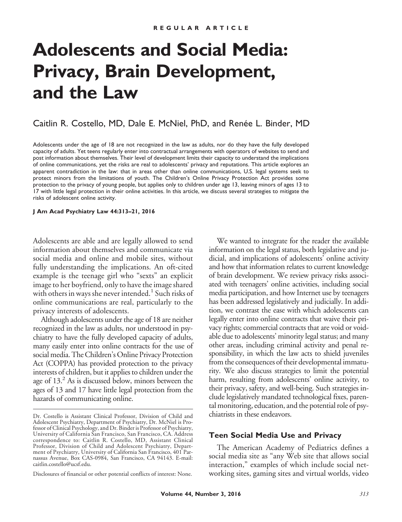# **Adolescents and Social Media: Privacy, Brain Development, and the Law**

# Caitlin R. Costello, MD, Dale E. McNiel, PhD, and Renée L. Binder, MD

Adolescents under the age of 18 are not recognized in the law as adults, nor do they have the fully developed capacity of adults. Yet teens regularly enter into contractual arrangements with operators of websites to send and post information about themselves. Their level of development limits their capacity to understand the implications of online communications, yet the risks are real to adolescents' privacy and reputations. This article explores an apparent contradiction in the law: that in areas other than online communications, U.S. legal systems seek to protect minors from the limitations of youth. The Children's Online Privacy Protection Act provides some protection to the privacy of young people, but applies only to children under age 13, leaving minors of ages 13 to 17 with little legal protection in their online activities. In this article, we discuss several strategies to mitigate the risks of adolescent online activity.

**J Am Acad Psychiatry Law 44:313–21, 2016**

Adolescents are able and are legally allowed to send information about themselves and communicate via social media and online and mobile sites, without fully understanding the implications. An oft-cited example is the teenage girl who "sexts" an explicit image to her boyfriend, only to have the image shared with others in ways she never intended.<sup>1</sup> Such risks of online communications are real, particularly to the privacy interests of adolescents.

Although adolescents under the age of 18 are neither recognized in the law as adults, nor understood in psychiatry to have the fully developed capacity of adults, many easily enter into online contracts for the use of social media. The Children's Online Privacy Protection Act (COPPA) has provided protection to the privacy interests of children, but it applies to children under the age of  $13<sup>2</sup>$  As is discussed below, minors between the ages of 13 and 17 have little legal protection from the hazards of communicating online.

Disclosures of financial or other potential conflicts of interest: None.

We wanted to integrate for the reader the available information on the legal status, both legislative and judicial, and implications of adolescents' online activity and how that information relates to current knowledge of brain development. We review privacy risks associated with teenagers' online activities, including social media participation, and how Internet use by teenagers has been addressed legislatively and judicially. In addition, we contrast the ease with which adolescents can legally enter into online contracts that waive their privacy rights; commercial contracts that are void or voidable due to adolescents' minority legal status; and many other areas, including criminal activity and penal responsibility, in which the law acts to shield juveniles from the consequences of their developmental immaturity. We also discuss strategies to limit the potential harm, resulting from adolescents' online activity, to their privacy, safety, and well-being. Such strategies include legislatively mandated technological fixes, parental monitoring, education, and the potential role of psychiatrists in these endeavors.

#### **Teen Social Media Use and Privacy**

The American Academy of Pediatrics defines a social media site as "any Web site that allows social interaction," examples of which include social networking sites, gaming sites and virtual worlds, video

Dr. Costello is Assistant Clinical Professor, Division of Child and Adolescent Psychiatry, Department of Psychiatry, Dr. McNiel is Professor of Clinical Psychology, and Dr. Binder is Professor of Psychiatry, University of California San Francisco, San Francisco, CA. Address correspondence to: Caitlin R. Costello, MD, Assistant Clinical Professor, Division of Child and Adolescent Psychiatry, Department of Psychiatry, University of California San Francisco, 401 Parnassus Avenue, Box CAS-0984, San Francisco, CA 94143. E-mail: [caitlin.costello@ucsf.edu.](mailto:caitlin.costelloucsf.edu)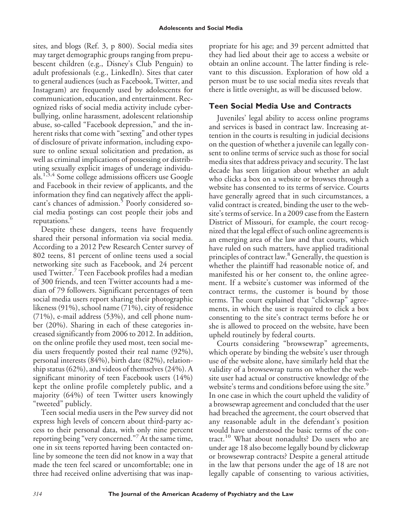sites, and blogs (Ref. 3, p 800). Social media sites may target demographic groups ranging from prepubescent children (e.g., Disney's Club Penguin) to adult professionals (e.g., LinkedIn). Sites that cater to general audiences (such as Facebook, Twitter, and Instagram) are frequently used by adolescents for communication, education, and entertainment. Recognized risks of social media activity include cyberbullying, online harassment, adolescent relationship abuse, so-called "Facebook depression," and the inherent risks that come with "sexting" and other types of disclosure of private information, including exposure to online sexual solicitation and predation, as well as criminal implications of possessing or distributing sexually explicit images of underage individuals.1,3,4 Some college admissions officers use Google and Facebook in their review of applicants, and the information they find can negatively affect the applicant's chances of admission.<sup>5</sup> Poorly considered social media postings can cost people their jobs and reputations.<sup>6</sup>

Despite these dangers, teens have frequently shared their personal information via social media. According to a 2012 Pew Research Center survey of 802 teens, 81 percent of online teens used a social networking site such as Facebook, and 24 percent used Twitter.<sup>7</sup> Teen Facebook profiles had a median of 300 friends, and teen Twitter accounts had a median of 79 followers. Significant percentages of teen social media users report sharing their photographic likeness (91%), school name (71%), city of residence (71%), e-mail address (53%), and cell phone number (20%). Sharing in each of these categories increased significantly from 2006 to 2012. In addition, on the online profile they used most, teen social media users frequently posted their real name (92%), personal interests (84%), birth date (82%), relationship status (62%), and videos of themselves (24%). A significant minority of teen Facebook users (14%) kept the online profile completely public, and a majority (64%) of teen Twitter users knowingly "tweeted" publicly.

Teen social media users in the Pew survey did not express high levels of concern about third-party access to their personal data, with only nine percent reporting being "very concerned."<sup>7</sup> At the same time, one in six teens reported having been contacted online by someone the teen did not know in a way that made the teen feel scared or uncomfortable; one in three had received online advertising that was inappropriate for his age; and 39 percent admitted that they had lied about their age to access a website or obtain an online account. The latter finding is relevant to this discussion. Exploration of how old a person must be to use social media sites reveals that there is little oversight, as will be discussed below.

# **Teen Social Media Use and Contracts**

Juveniles' legal ability to access online programs and services is based in contract law. Increasing attention in the courts is resulting in judicial decisions on the question of whether a juvenile can legally consent to online terms of service such as those for social media sites that address privacy and security. The last decade has seen litigation about whether an adult who clicks a box on a website or browses through a website has consented to its terms of service. Courts have generally agreed that in such circumstances, a valid contract is created, binding the user to the website's terms of service. In a 2009 case from the Eastern District of Missouri, for example, the court recognized that the legal effect of such online agreements is an emerging area of the law and that courts, which have ruled on such matters, have applied traditional principles of contract law.<sup>8</sup> Generally, the question is whether the plaintiff had reasonable notice of, and manifested his or her consent to, the online agreement. If a website's customer was informed of the contract terms, the customer is bound by those terms. The court explained that "clickwrap" agreements, in which the user is required to click a box consenting to the site's contract terms before he or she is allowed to proceed on the website, have been upheld routinely by federal courts.

Courts considering "browsewrap" agreements, which operate by binding the website's user through use of the website alone, have similarly held that the validity of a browsewrap turns on whether the website user had actual or constructive knowledge of the website's terms and conditions before using the site.<sup>9</sup> In one case in which the court upheld the validity of a browsewrap agreement and concluded that the user had breached the agreement, the court observed that any reasonable adult in the defendant's position would have understood the basic terms of the contract.<sup>10</sup> What about nonadults? Do users who are under age 18 also become legally bound by clickwrap or browsewrap contracts? Despite a general attitude in the law that persons under the age of 18 are not legally capable of consenting to various activities,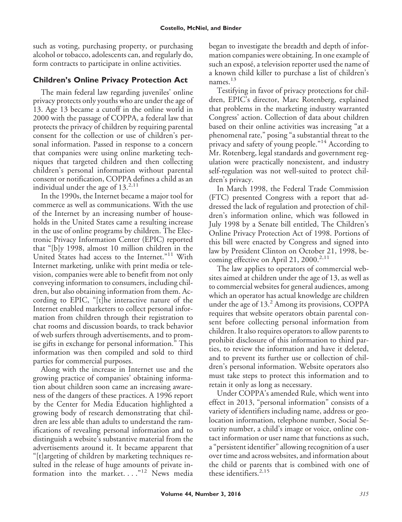such as voting, purchasing property, or purchasing alcohol or tobacco, adolescents can, and regularly do, form contracts to participate in online activities.

## **Children's Online Privacy Protection Act**

The main federal law regarding juveniles' online privacy protects only youths who are under the age of 13. Age 13 became a cutoff in the online world in 2000 with the passage of COPPA, a federal law that protects the privacy of children by requiring parental consent for the collection or use of children's personal information. Passed in response to a concern that companies were using online marketing techniques that targeted children and then collecting children's personal information without parental consent or notification, COPPA defines a child as an individual under the age of  $13.^{2,11}$ 

In the 1990s, the Internet became a major tool for commerce as well as communications. With the use of the Internet by an increasing number of households in the United States came a resulting increase in the use of online programs by children. The Electronic Privacy Information Center (EPIC) reported that "[b]y 1998, almost 10 million children in the United States had access to the Internet."<sup>11</sup> With Internet marketing, unlike with print media or television, companies were able to benefit from not only conveying information to consumers, including children, but also obtaining information from them. According to EPIC, "[t]he interactive nature of the Internet enabled marketers to collect personal information from children through their registration to chat rooms and discussion boards, to track behavior of web surfers through advertisements, and to promise gifts in exchange for personal information." This information was then compiled and sold to third parties for commercial purposes.

Along with the increase in Internet use and the growing practice of companies' obtaining information about children soon came an increasing awareness of the dangers of these practices. A 1996 report by the Center for Media Education highlighted a growing body of research demonstrating that children are less able than adults to understand the ramifications of revealing personal information and to distinguish a website's substantive material from the advertisements around it. It became apparent that "[t]argeting of children by marketing techniques resulted in the release of huge amounts of private information into the market...."<sup>12</sup> News media

began to investigate the breadth and depth of information companies were obtaining. In one example of such an exposé, a television reporter used the name of a known child killer to purchase a list of children's names. $13$ 

Testifying in favor of privacy protections for children, EPIC's director, Marc Rotenberg, explained that problems in the marketing industry warranted Congress' action. Collection of data about children based on their online activities was increasing "at a phenomenal rate," posing "a substantial threat to the privacy and safety of young people."<sup>14</sup> According to Mr. Rotenberg, legal standards and government regulation were practically nonexistent, and industry self-regulation was not well-suited to protect children's privacy.

In March 1998, the Federal Trade Commission (FTC) presented Congress with a report that addressed the lack of regulation and protection of children's information online, which was followed in July 1998 by a Senate bill entitled, The Children's Online Privacy Protection Act of 1998. Portions of this bill were enacted by Congress and signed into law by President Clinton on October 21, 1998, becoming effective on April 21, 2000.<sup>2,11</sup>

The law applies to operators of commercial websites aimed at children under the age of 13, as well as to commercial websites for general audiences, among which an operator has actual knowledge are children under the age of  $13<sup>2</sup>$  Among its provisions, COPPA requires that website operators obtain parental consent before collecting personal information from children. It also requires operators to allow parents to prohibit disclosure of this information to third parties, to review the information and have it deleted, and to prevent its further use or collection of children's personal information. Website operators also must take steps to protect this information and to retain it only as long as necessary.

Under COPPA's amended Rule, which went into effect in 2013, "personal information" consists of a variety of identifiers including name, address or geolocation information, telephone number, Social Security number, a child's image or voice, online contact information or user name that functions as such, a "persistent identifier" allowing recognition of a user over time and across websites, and information about the child or parents that is combined with one of these identifiers. $2,15$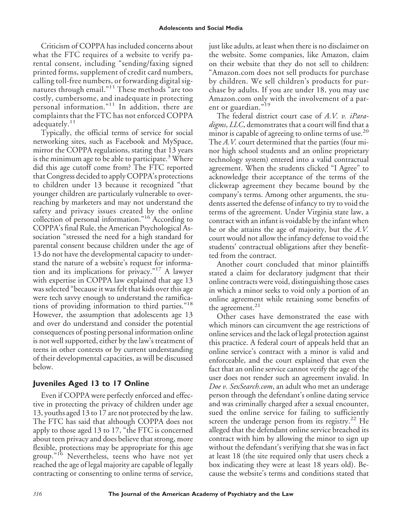#### **Adolescents and Social Media**

Criticism of COPPA has included concerns about what the FTC requires of a website to verify parental consent, including "sending/faxing signed printed forms, supplement of credit card numbers, calling toll-free numbers, or forwarding digital signatures through email."<sup>11</sup> These methods "are too costly, cumbersome, and inadequate in protecting personal information."<sup>11</sup> In addition, there are complaints that the FTC has not enforced COPPA adequately.<sup>11</sup>

Typically, the official terms of service for social networking sites, such as Facebook and MySpace, mirror the COPPA regulations, stating that 13 years is the minimum age to be able to participate.<sup>3</sup> Where did this age cutoff come from? The FTC reported that Congress decided to apply COPPA's protections to children under 13 because it recognized "that younger children are particularly vulnerable to overreaching by marketers and may not understand the safety and privacy issues created by the online collection of personal information."<sup>16</sup> According to COPPA's final Rule, the American Psychological Association "stressed the need for a high standard for parental consent because children under the age of 13 do not have the developmental capacity to understand the nature of a website's request for information and its implications for privacy."<sup>17</sup> A lawyer with expertise in COPPA law explained that age 13 was selected "because it was felt that kids over this age were tech savvy enough to understand the ramifications of providing information to third parties."<sup>18</sup> However, the assumption that adolescents age 13 and over do understand and consider the potential consequences of posting personal information online is not well supported, either by the law's treatment of teens in other contexts or by current understanding of their developmental capacities, as will be discussed below.

# **Juveniles Aged 13 to 17 Online**

Even if COPPA were perfectly enforced and effective in protecting the privacy of children under age 13, youths aged 13 to 17 are not protected by the law. The FTC has said that although COPPA does not apply to those aged 13 to 17, "the FTC is concerned about teen privacy and does believe that strong, more flexible, protections may be appropriate for this age group."<sup>16</sup> Nevertheless, teens who have not yet reached the age of legal majority are capable of legally contracting or consenting to online terms of service, just like adults, at least when there is no disclaimer on the website. Some companies, like Amazon, claim on their website that they do not sell to children: "Amazon.com does not sell products for purchase by children. We sell children's products for purchase by adults. If you are under 18, you may use Amazon.com only with the involvement of a parent or guardian."<sup>19</sup>

The federal district court case of *A.V. v. iParadigms*, *LLC*, demonstrates that a court will find that a minor is capable of agreeing to online terms of use.<sup>20</sup> The *A.V.* court determined that the parties (four minor high school students and an online proprietary technology system) entered into a valid contractual agreement. When the students clicked "I Agree" to acknowledge their acceptance of the terms of the clickwrap agreement they became bound by the company's terms. Among other arguments, the students asserted the defense of infancy to try to void the terms of the agreement. Under Virginia state law, a contract with an infant is voidable by the infant when he or she attains the age of majority, but the *A.V.* court would not allow the infancy defense to void the students' contractual obligations after they benefitted from the contract.

Another court concluded that minor plaintiffs stated a claim for declaratory judgment that their online contracts were void, distinguishing those cases in which a minor seeks to void only a portion of an online agreement while retaining some benefits of the agreement.<sup>21</sup>

Other cases have demonstrated the ease with which minors can circumvent the age restrictions of online services and the lack of legal protection against this practice. A federal court of appeals held that an online service's contract with a minor is valid and enforceable, and the court explained that even the fact that an online service cannot verify the age of the user does not render such an agreement invalid. In *Doe v. SexSearch.com*, an adult who met an underage person through the defendant's online dating service and was criminally charged after a sexual encounter, sued the online service for failing to sufficiently screen the underage person from its registry. $22$  He alleged that the defendant online service breached its contract with him by allowing the minor to sign up without the defendant's verifying that she was in fact at least 18 (the site required only that users check a box indicating they were at least 18 years old). Because the website's terms and conditions stated that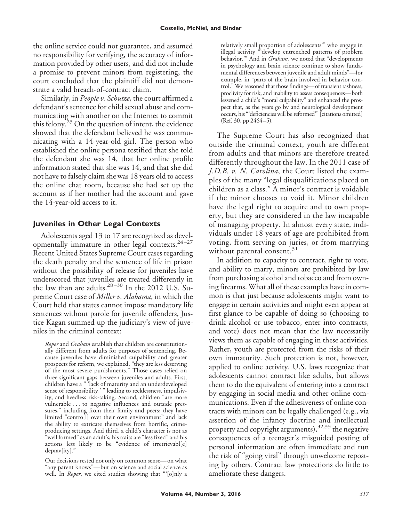the online service could not guarantee, and assumed no responsibility for verifying, the accuracy of information provided by other users, and did not include a promise to prevent minors from registering, the court concluded that the plaintiff did not demonstrate a valid breach-of-contract claim.

Similarly, in *People v. Schutze*, the court affirmed a defendant's sentence for child sexual abuse and communicating with another on the Internet to commit this felony.<sup>23</sup> On the question of intent, the evidence showed that the defendant believed he was communicating with a 14-year-old girl. The person who established the online persona testified that she told the defendant she was 14, that her online profile information stated that she was 14, and that she did not have to falsely claim she was 18 years old to access the online chat room, because she had set up the account as if her mother had the account and gave the 14-year-old access to it.

#### **Juveniles in Other Legal Contexts**

Adolescents aged 13 to 17 are recognized as developmentally immature in other legal contexts. $24-27$ Recent United States Supreme Court cases regarding the death penalty and the sentence of life in prison without the possibility of release for juveniles have underscored that juveniles are treated differently in the law than are adults. $28-30$  In the 2012 U.S. Supreme Court case of *Miller v. Alabama*, in which the Court held that states cannot impose mandatory life sentences without parole for juvenile offenders, Justice Kagan summed up the judiciary's view of juveniles in the criminal context:

*Roper* and *Graham* establish that children are constitutionally different from adults for purposes of sentencing. Because juveniles have diminished culpability and greater prospects for reform, we explained, "they are less deserving of the most severe punishments." Those cases relied on three significant gaps between juveniles and adults. First, children have a " 'lack of maturity and an underdeveloped sense of responsibility,' " leading to recklessness, impulsivity, and heedless risk-taking. Second, children "are more vulnerable . . . to negative influences and outside pressures," including from their family and peers; they have limited "contro[l] over their own environment" and lack the ability to extricate themselves from horrific, crimeproducing settings. And third, a child's character is not as "well formed" as an adult's; his traits are "less fixed" and his actions less likely to be "evidence of irretrievabl[e] deprav[ity]."

Our decisions rested not only on common sense—on what "any parent knows"— but on science and social science as well. In *Roper*, we cited studies showing that "'[o]nly a

relatively small proportion of adolescents'" who engage in illegal activity "'develop entrenched patterns of problem behavior.'" And in *Graham*, we noted that "developments in psychology and brain science continue to show fundamental differences between juvenile and adult minds"—for example, in "parts of the brain involved in behavior control." We reasoned that those findings—of transient rashness, proclivity for risk, and inability to assess consequences— both lessened a child's "moral culpability" and enhanced the prospect that, as the years go by and neurological development occurs, his "'deficiencies will be reformed'" [citations omitted] (Ref. 30, pp 2464 –5).

The Supreme Court has also recognized that outside the criminal context, youth are different from adults and that minors are therefore treated differently throughout the law. In the 2011 case of *J.D.B. v. N. Carolina*, the Court listed the examples of the many "legal disqualifications placed on children as a class." A minor's contract is voidable if the minor chooses to void it. Minor children have the legal right to acquire and to own property, but they are considered in the law incapable of managing property. In almost every state, individuals under 18 years of age are prohibited from voting, from serving on juries, or from marrying without parental consent. $31$ 

In addition to capacity to contract, right to vote, and ability to marry, minors are prohibited by law from purchasing alcohol and tobacco and from owning firearms. What all of these examples have in common is that just because adolescents might want to engage in certain activities and might even appear at first glance to be capable of doing so (choosing to drink alcohol or use tobacco, enter into contracts, and vote) does not mean that the law necessarily views them as capable of engaging in these activities. Rather, youth are protected from the risks of their own immaturity. Such protection is not, however, applied to online activity. U.S. laws recognize that adolescents cannot contract like adults, but allows them to do the equivalent of entering into a contract by engaging in social media and other online communications. Even if the adhesiveness of online contracts with minors can be legally challenged (e.g., via assertion of the infancy doctrine and intellectual property and copyright arguments),<sup>32,33</sup> the negative consequences of a teenager's misguided posting of personal information are often immediate and run the risk of "going viral" through unwelcome reposting by others. Contract law protections do little to ameliorate these dangers.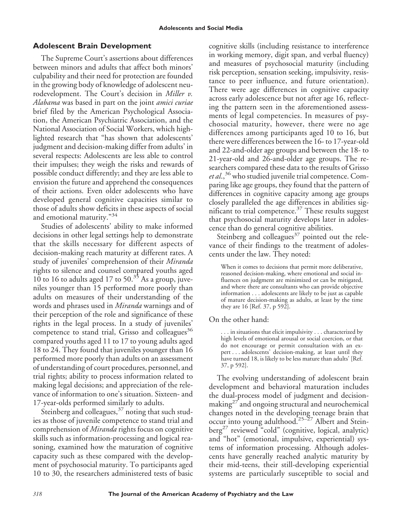# **Adolescent Brain Development**

The Supreme Court's assertions about differences between minors and adults that affect both minors' culpability and their need for protection are founded in the growing body of knowledge of adolescent neurodevelopment. The Court's decision in *Miller v. Alabama* was based in part on the joint *amici curiae* brief filed by the American Psychological Association, the American Psychiatric Association, and the National Association of Social Workers, which highlighted research that "has shown that adolescents' judgment and decision-making differ from adults' in several respects: Adolescents are less able to control their impulses; they weigh the risks and rewards of possible conduct differently; and they are less able to envision the future and apprehend the consequences of their actions. Even older adolescents who have developed general cognitive capacities similar to those of adults show deficits in these aspects of social and emotional maturity."<sup>34</sup>

Studies of adolescents' ability to make informed decisions in other legal settings help to demonstrate that the skills necessary for different aspects of decision-making reach maturity at different rates. A study of juveniles' comprehension of their *Miranda* rights to silence and counsel compared youths aged 10 to 16 to adults aged 17 to  $50^{35}$  As a group, juveniles younger than 15 performed more poorly than adults on measures of their understanding of the words and phrases used in *Miranda* warnings and of their perception of the role and significance of these rights in the legal process. In a study of juveniles' competence to stand trial, Grisso and colleagues<sup>36</sup> compared youths aged 11 to 17 to young adults aged 18 to 24. They found that juveniles younger than 16 performed more poorly than adults on an assessment of understanding of court procedures, personnel, and trial rights; ability to process information related to making legal decisions; and appreciation of the relevance of information to one's situation. Sixteen- and 17-year-olds performed similarly to adults.

Steinberg and colleagues,<sup>37</sup> noting that such studies as those of juvenile competence to stand trial and comprehension of *Miranda* rights focus on cognitive skills such as information-processing and logical reasoning, examined how the maturation of cognitive capacity such as these compared with the development of psychosocial maturity. To participants aged 10 to 30, the researchers administered tests of basic cognitive skills (including resistance to interference in working memory, digit span, and verbal fluency) and measures of psychosocial maturity (including risk perception, sensation seeking, impulsivity, resistance to peer influence, and future orientation). There were age differences in cognitive capacity across early adolescence but not after age 16, reflecting the pattern seen in the aforementioned assessments of legal competencies. In measures of psychosocial maturity, however, there were no age differences among participants aged 10 to 16, but there were differences between the 16- to 17-year-old and 22-and-older age groups and between the 18- to 21-year-old and 26-and-older age groups. The researchers compared these data to the results of Grisso et al.,<sup>36</sup> who studied juvenile trial competence. Comparing like age groups, they found that the pattern of differences in cognitive capacity among age groups closely paralleled the age differences in abilities significant to trial competence. $37$  These results suggest that psychosocial maturity develops later in adolescence than do general cognitive abilities.

Steinberg and colleagues $37$  pointed out the relevance of their findings to the treatment of adolescents under the law. They noted:

When it comes to decisions that permit more deliberative, reasoned decision-making, where emotional and social influences on judgment are minimized or can be mitigated, and where there are consultants who can provide objective information... adolescents are likely to be just as capable of mature decision-making as adults, at least by the time they are 16 [Ref. 37, p 592].

#### On the other hand:

. . . in situations that elicit impulsivity... characterized by high levels of emotional arousal or social coercion, or that do not encourage or permit consultation with an expert . . . adolescents' decision-making, at least until they have turned 18, is likely to be less mature than adults' [Ref. 37, p 592].

The evolving understanding of adolescent brain development and behavioral maturation includes the dual-process model of judgment and decisionmaking $2^7$  and ongoing structural and neurochemical changes noted in the developing teenage brain that occur into young adulthood.<sup>25–27</sup> Albert and Stein $berg<sup>27</sup>$  reviewed "cold" (cognitive, logical, analytic) and "hot" (emotional, impulsive, experiential) systems of information processing. Although adolescents have generally reached analytic maturity by their mid-teens, their still-developing experiential systems are particularly susceptible to social and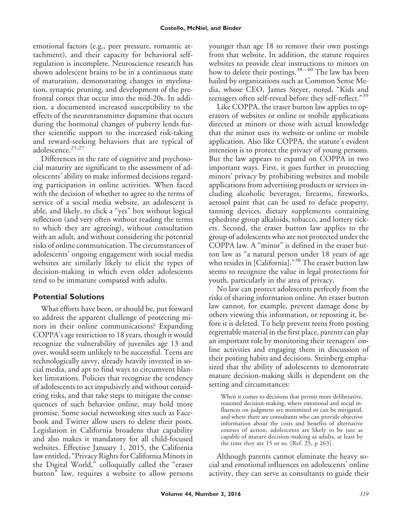emotional factors (e.g., peer pressure, romantic attachment), and their capacity for behavioral selfregulation is incomplete. Neuroscience research has shown adolescent brains to be in a continuous state of maturation, demonstrating changes in myelination, synaptic pruning, and development of the prefrontal cortex that occur into the mid-20s. In addition, a documented increased susceptibility to the effects of the neurotransmitter dopamine that occurs during the hormonal changes of puberty lends further scientific support to the increased risk-taking and reward-seeking behaviors that are typical of adolescence.<sup>25,27</sup>

Differences in the rate of cognitive and psychosocial maturity are significant to the assessment of adolescents' ability to make informed decisions regarding participation in online activities. When faced with the decision of whether to agree to the terms of service of a social media website, an adolescent is able, and likely, to click a "yes" box without logical reflection (and very often without reading the terms to which they are agreeing), without consultation with an adult, and without considering the potential risks of online communication. The circumstances of adolescents' ongoing engagement with social media websites are similarly likely to elicit the types of decision-making in which even older adolescents tend to be immature compared with adults.

#### **Potential Solutions**

What efforts have been, or should be, put forward to address the apparent challenge of protecting minors in their online communications? Expanding COPPA's age restriction to 18 years, though it would recognize the vulnerability of juveniles age 13 and over, would seem unlikely to be successful. Teens are technologically savvy, already heavily invested in social media, and apt to find ways to circumvent blanket limitations. Policies that recognize the tendency of adolescents to act impulsively and without considering risks, and that take steps to mitigate the consequences of such behavior online, may hold more promise. Some social networking sites such as Facebook and Twitter allow users to delete their posts. Legislation in California broadens that capability and also makes it mandatory for all child-focused websites. Effective January 1, 2015, the California law entitled, "Privacy Rights for California Minors in the Digital World," colloquially called the "eraser button" law, requires a website to allow persons

younger than age 18 to remove their own postings from that website. In addition, the statute requires websites to provide clear instructions to minors on how to delete their postings.<sup>38-40</sup> The law has been hailed by organizations such as Common Sense Media, whose CEO, James Steyer, noted, "Kids and teenagers often self-reveal before they self-reflect."<sup>39</sup>

Like COPPA, the eraser button law applies to operators of websites or online or mobile applications directed at minors or those with actual knowledge that the minor uses its website or online or mobile application. Also like COPPA, the statute's evident intention is to protect the privacy of young persons. But the law appears to expand on COPPA in two important ways. First, it goes further in protecting minors' privacy by prohibiting websites and mobile applications from advertising products or services including alcoholic beverages, firearms, fireworks, aerosol paint that can be used to deface property, tanning devices, dietary supplements containing ephedrine group alkaloids, tobacco, and lottery tickets. Second, the eraser button law applies to the group of adolescents who are not protected under the COPPA law. A "minor" is defined in the eraser button law as "a natural person under 18 years of age who resides in [California]."<sup>38</sup> The eraser button law seems to recognize the value in legal protections for youth, particularly in the area of privacy.

No law can protect adolescents perfectly from the risks of sharing information online. An eraser button law cannot, for example, prevent damage done by others viewing this information, or reposting it, before it is deleted. To help prevent teens from posting regrettable material in the first place, parents can play an important role by monitoring their teenagers' online activities and engaging them in discussion of their posting habits and decisions. Steinberg emphasized that the ability of adolescents to demonstrate mature decision-making skills is dependent on the setting and circumstances:

When it comes to decisions that permit more deliberative, reasoned decision-making, where emotional and social influences on judgment are minimized or can be mitigated, and where there are consultants who can provide objective information about the costs and benefits of alternative courses of action, adolescents are likely to be just as capable of mature decision-making as adults, at least by the time they are 15 or so. [Ref. 25, p 263].

Although parents cannot eliminate the heavy social and emotional influences on adolescents' online activity, they can serve as consultants to guide their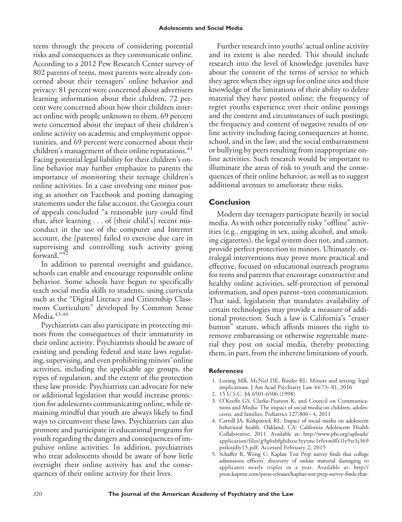teens through the process of considering potential risks and consequences as they communicate online. According to a 2012 Pew Research Center survey of 802 parents of teens, most parents were already concerned about their teenagers' online behavior and privacy: 81 percent were concerned about advertisers learning information about their children, 72 percent were concerned about how their children interact online with people unknown to them, 69 percent were concerned about the impact of their children's online activity on academic and employment opportunities, and 69 percent were concerned about their children's management of their online reputations.<sup>41</sup> Facing potential legal liability for their children's online behavior may further emphasize to parents the importance of monitoring their teenage children's online activities. In a case involving one minor posing as another on Facebook and posting damaging statements under the false account, the Georgia court of appeals concluded "a reasonable jury could find that, after learning . . . of [their child's] recent misconduct in the use of the computer and Internet account, the [parents] failed to exercise due care in supervising and controlling such activity going forward."<sup>42</sup>

In addition to parental oversight and guidance, schools can enable and encourage responsible online behavior. Some schools have begun to specifically teach social media skills to students, using curricula such as the "Digital Literacy and Citizenship Classroom Curriculum" developed by Common Sense Media.<sup>43,44</sup>

Psychiatrists can also participate in protecting minors from the consequences of their immaturity in their online activity. Psychiatrists should be aware of existing and pending federal and state laws regulating, supervising, and even prohibiting minors' online activities, including the applicable age groups, the types of regulation, and the extent of the protection these law provide. Psychiatrists can advocate for new or additional legislation that would increase protection for adolescents communicating online, while remaining mindful that youth are always likely to find ways to circumvent these laws. Psychiatrists can also promote and participate in educational programs for youth regarding the dangers and consequences of impulsive online activities. In addition, psychiatrists who treat adolescents should be aware of how little oversight their online activity has and the consequences of their online activity for their lives.

Further research into youths' actual online activity and its extent is also needed. This should include research into the level of knowledge juveniles have about the content of the terms of service to which they agree when they sign up for online sites and their knowledge of the limitations of their ability to delete material they have posted online; the frequency of regret youths experience over their online postings and the content and circumstances of such postings; the frequency and content of negative results of online activity including facing consequences at home, school, and in the law; and the social embarrassment or bullying by peers resulting from inappropriate online activities. Such research would be important to illuminate the areas of risk to youth and the consequences of their online behavior, as well as to suggest additional avenues to ameliorate these risks.

### **Conclusion**

Modern day teenagers participate heavily in social media. As with other potentially risky "offline" activities (e.g., engaging in sex, using alcohol, and smoking cigarettes), the legal system does not, and cannot, provide perfect protection to minors. Ultimately, extralegal interventions may prove more practical and effective, focused on educational outreach programs for teens and parents that encourage constructive and healthy online activities, self-protection of personal information, and open parent–teen communication. That said, legislation that mandates availability of certain technologies may provide a measure of additional protection. Such a law is California's "eraser button" statute, which affords minors the right to remove embarrassing or otherwise regrettable material they post on social media, thereby protecting them, in part, from the inherent limitations of youth.

#### **References**

- 1. Lorang MR, McNiel DE, Binder RL: Minors and sexting: legal implications. J Am Acad Psychiatry Law 44:73– 81, 2016
- 2. 15 U.S.C. §§ 6501-6506 (1998)
- 3. O'Keeffe GS, Clarke-Pearson K, and Council on Communications and Media: The impact of social media on children, adolescents, and families. Pediatrics 127:800 – 4, 2011
- 4. Carroll JA, Kirkpatrick RL: Impact of social media on adolescent behavioral health. Oakland, CA: California Adolescent Health Collaborative, 2011. Available at: [http://www.phi.org/uploads/](http://www.phi.org/uploads/application/files/g9g6xbfghdxoe3yytmc1rfvvm8lt1ly9sr3j369pstkojdly15.pdf) [application/files/g9g6xbfghdxoe3yytmc1rfvvm8lt1ly9sr3j369](http://www.phi.org/uploads/application/files/g9g6xbfghdxoe3yytmc1rfvvm8lt1ly9sr3j369pstkojdly15.pdf) [pstkojdly15.pdf.](http://www.phi.org/uploads/application/files/g9g6xbfghdxoe3yytmc1rfvvm8lt1ly9sr3j369pstkojdly15.pdf) Accessed February 2, 2015
- 5. Schaffer R, Wong C: Kaplan Test Prep survey finds that college admissions officers' discovery of online material damaging to applicants nearly triples in a year. Available at: [http://](http://press.kaptest.com/press-releases/kaplan-test-prep-survey-finds-that-college-admissions-officers-discovery-of-online-material-damaging-to-applicants-nearly-triples-in-a-year) [press.kaptest.com/press-releases/kaplan-test-prep-survey-finds-that-](http://press.kaptest.com/press-releases/kaplan-test-prep-survey-finds-that-college-admissions-officers-discovery-of-online-material-damaging-to-applicants-nearly-triples-in-a-year)